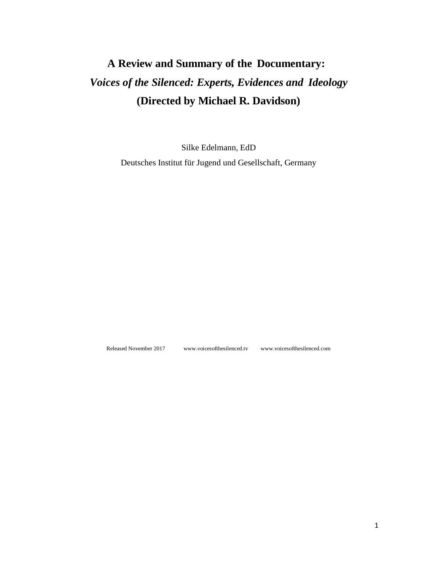## **A Review and Summary of the Documentary:** *Voices of the Silenced: Experts, Evidences and Ideology* **(Directed by Michael R. Davidson)**

Silke Edelmann, EdD Deutsches Institut für Jugend und Gesellschaft, Germany

Released November 2017 [www.voicesofthesilenced.tv](http://www.voicesofthesilenced.tv/) [www.voicesofthesilenced.com](http://www.voicesofthesilenced.com/)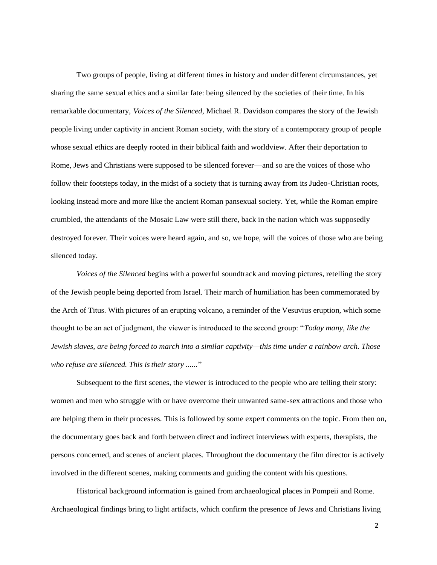Two groups of people, living at different times in history and under different circumstances, yet sharing the same sexual ethics and a similar fate: being silenced by the societies of their time. In his remarkable documentary, *Voices of the Silenced*, Michael R. Davidson compares the story of the Jewish people living under captivity in ancient Roman society, with the story of a contemporary group of people whose sexual ethics are deeply rooted in their biblical faith and worldview. After their deportation to Rome, Jews and Christians were supposed to be silenced forever—and so are the voices of those who follow their footsteps today, in the midst of a society that is turning away from its Judeo-Christian roots, looking instead more and more like the ancient Roman pansexual society. Yet, while the Roman empire crumbled, the attendants of the Mosaic Law were still there, back in the nation which was supposedly destroyed forever. Their voices were heard again, and so, we hope, will the voices of those who are being silenced today.

*Voices of the Silenced* begins with a powerful soundtrack and moving pictures, retelling the story of the Jewish people being deported from Israel. Their march of humiliation has been commemorated by the Arch of Titus. With pictures of an erupting volcano, a reminder of the Vesuvius eruption, which some thought to be an act of judgment, the viewer is introduced to the second group: "*Today many, like the Jewish slaves, are being forced to march into a similar captivity—this time under a rainbow arch. Those who refuse are silenced. This istheir story ......*"

Subsequent to the first scenes, the viewer is introduced to the people who are telling their story: women and men who struggle with or have overcome their unwanted same-sex attractions and those who are helping them in their processes. This is followed by some expert comments on the topic. From then on, the documentary goes back and forth between direct and indirect interviews with experts, therapists, the persons concerned, and scenes of ancient places. Throughout the documentary the film director is actively involved in the different scenes, making comments and guiding the content with his questions.

Historical background information is gained from archaeological places in Pompeii and Rome. Archaeological findings bring to light artifacts, which confirm the presence of Jews and Christians living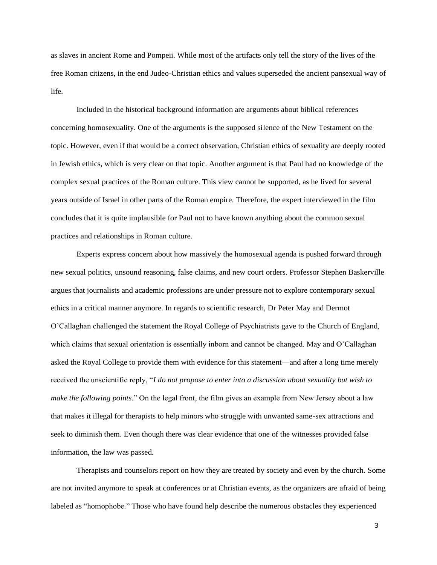as slaves in ancient Rome and Pompeii. While most of the artifacts only tell the story of the lives of the free Roman citizens, in the end Judeo-Christian ethics and values superseded the ancient pansexual way of life.

Included in the historical background information are arguments about biblical references concerning homosexuality. One of the arguments is the supposed silence of the New Testament on the topic. However, even if that would be a correct observation, Christian ethics of sexuality are deeply rooted in Jewish ethics, which is very clear on that topic. Another argument is that Paul had no knowledge of the complex sexual practices of the Roman culture. This view cannot be supported, as he lived for several years outside of Israel in other parts of the Roman empire. Therefore, the expert interviewed in the film concludes that it is quite implausible for Paul not to have known anything about the common sexual practices and relationships in Roman culture.

Experts express concern about how massively the homosexual agenda is pushed forward through new sexual politics, unsound reasoning, false claims, and new court orders. Professor Stephen Baskerville argues that journalists and academic professions are under pressure not to explore contemporary sexual ethics in a critical manner anymore. In regards to scientific research, Dr Peter May and Dermot O'Callaghan challenged the statement the Royal College of Psychiatrists gave to the Church of England, which claims that sexual orientation is essentially inborn and cannot be changed. May and O'Callaghan asked the Royal College to provide them with evidence for this statement—and after a long time merely received the unscientific reply, "*I do not propose to enter into a discussion about sexuality but wish to make the following points.*" On the legal front, the film gives an example from New Jersey about a law that makes it illegal for therapists to help minors who struggle with unwanted same-sex attractions and seek to diminish them. Even though there was clear evidence that one of the witnesses provided false information, the law was passed.

Therapists and counselors report on how they are treated by society and even by the church. Some are not invited anymore to speak at conferences or at Christian events, as the organizers are afraid of being labeled as "homophobe." Those who have found help describe the numerous obstacles they experienced